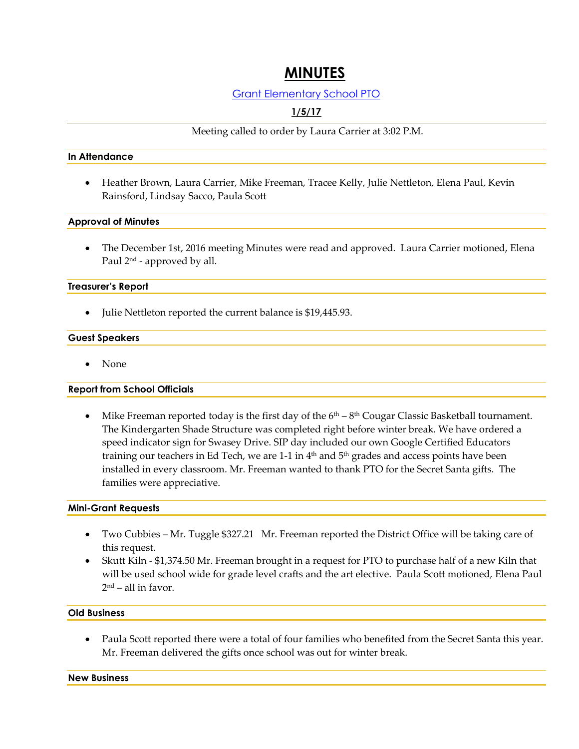# **MINUTES**

### Grant Elementary School PTO

## **1/5/17**

Meeting called to order by Laura Carrier at 3:02 P.M.

#### **In Attendance**

 Heather Brown, Laura Carrier, Mike Freeman, Tracee Kelly, Julie Nettleton, Elena Paul, Kevin Rainsford, Lindsay Sacco, Paula Scott

#### **Approval of Minutes**

 The December 1st, 2016 meeting Minutes were read and approved. Laura Carrier motioned, Elena Paul 2 nd - approved by all.

#### **Treasurer's Report**

• Julie Nettleton reported the current balance is \$19,445.93.

#### **Guest Speakers**

None

#### **Report from School Officials**

• Mike Freeman reported today is the first day of the  $6<sup>th</sup> - 8<sup>th</sup> Cougar Classic Basketball tournament.$ The Kindergarten Shade Structure was completed right before winter break. We have ordered a speed indicator sign for Swasey Drive. SIP day included our own Google Certified Educators training our teachers in Ed Tech, we are 1-1 in  $4<sup>th</sup>$  and  $5<sup>th</sup>$  grades and access points have been installed in every classroom. Mr. Freeman wanted to thank PTO for the Secret Santa gifts. The families were appreciative.

#### **Mini-Grant Requests**

- Two Cubbies Mr. Tuggle \$327.21 Mr. Freeman reported the District Office will be taking care of this request.
- Skutt Kiln \$1,374.50 Mr. Freeman brought in a request for PTO to purchase half of a new Kiln that will be used school wide for grade level crafts and the art elective. Paula Scott motioned, Elena Paul 2 nd – all in favor.

#### **Old Business**

 Paula Scott reported there were a total of four families who benefited from the Secret Santa this year. Mr. Freeman delivered the gifts once school was out for winter break.

**New Business**